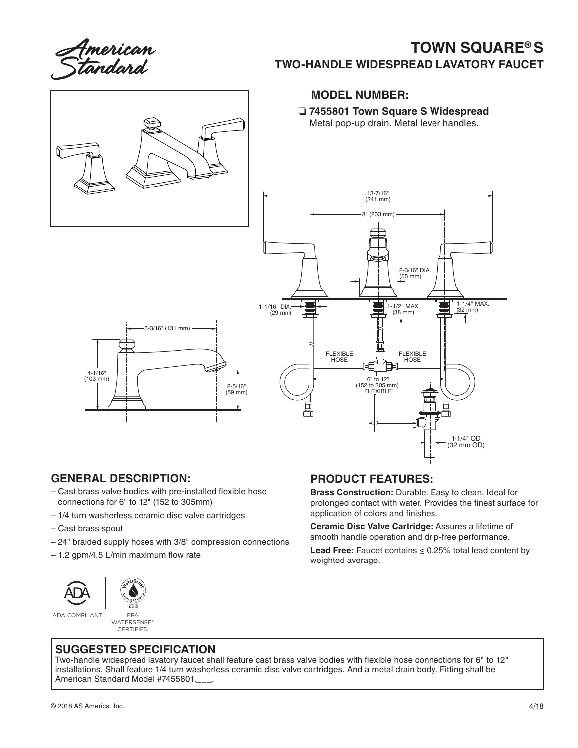American<br>s*t*andard

# **TOWN SQUARE® S TWO-HANDLE WIDESPREAD LAVATORY FAUCET**



#### **GENERAL DESCRIPTION:**

- Cast brass valve bodies with pre-installed flexible hose connections for 6" to 12" (152 to 305mm)
- 1/4 turn washerless ceramic disc valve cartridges
- Cast brass spout
- 24" braided supply hoses with 3/8" compression connections
- 1.2 gpm/4.5 L/min maximum flow rate





ADA COMPLIANT EPA

WATERSENSE® **CERTIFIED** 

## **PRODUCT FEATURES:**

**Brass Construction:** Durable. Easy to clean. Ideal for prolonged contact with water. Provides the finest surface for application of colors and finishes.

**Ceramic Disc Valve Cartridge:** Assures a lifetime of smooth handle operation and drip-free performance.

**Lead Free:** Faucet contains ≤ 0.25% total lead content by weighted average.

### **SUGGESTED SPECIFICATION**

Two-handle widespread lavatory faucet shall feature cast brass valve bodies with flexible hose connections for 6" to 12" installations. Shall feature 1/4 turn washerless ceramic disc valve cartridges. And a metal drain body. Fitting shall be American Standard Model #7455801.